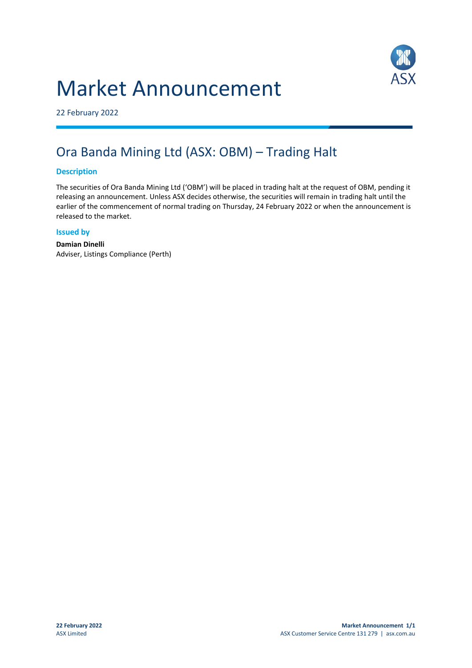# Market Announcement



22 February 2022

# Ora Banda Mining Ltd (ASX: OBM) – Trading Halt

# **Description**

The securities of Ora Banda Mining Ltd ('OBM') will be placed in trading halt at the request of OBM, pending it releasing an announcement. Unless ASX decides otherwise, the securities will remain in trading halt until the earlier of the commencement of normal trading on Thursday, 24 February 2022 or when the announcement is released to the market.

#### **Issued by**

**Damian Dinelli** Adviser, Listings Compliance (Perth)